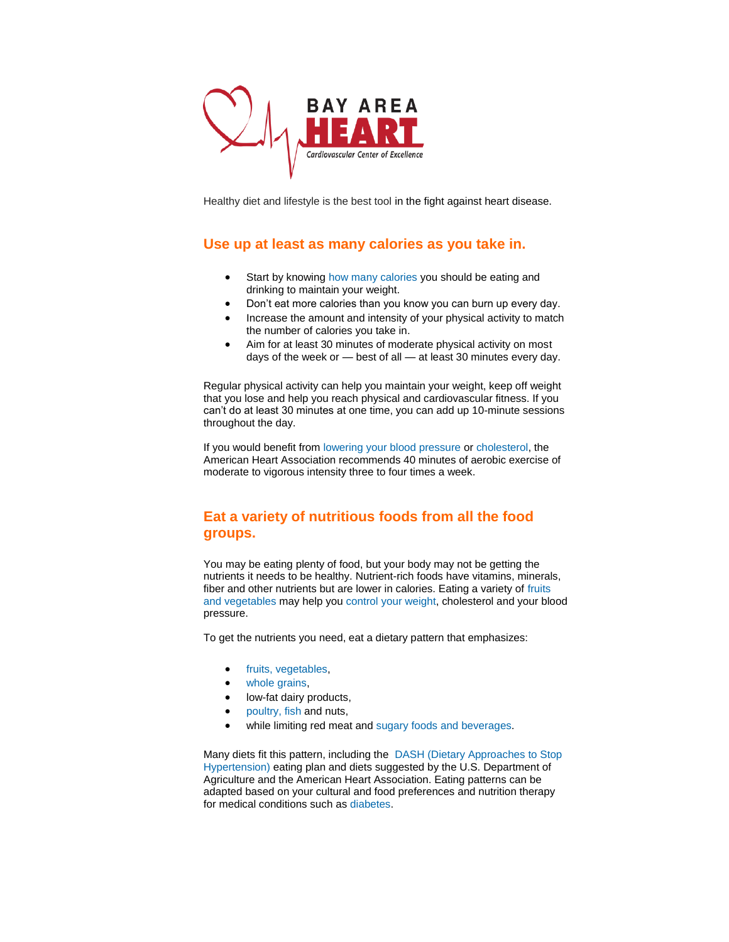

Healthy diet and lifestyle is the best tool in the fight against heart disease.

# **Use up at least as many calories as you take in.**

- Start by knowing [how many calories](http://www.myfatstranslator.com/) you should be eating and drinking to maintain your weight.
- Don't eat more calories than you know you can burn up every day.
- Increase the amount and intensity of your physical activity to match the number of calories you take in.
- Aim for at least 30 minutes of moderate physical activity on most days of the week or — best of all — at least 30 minutes every day.

Regular physical activity can help you maintain your weight, keep off weight that you lose and help you reach physical and cardiovascular fitness. If you can't do at least 30 minutes at one time, you can add up 10-minute sessions throughout the day.

If you would benefit from [lowering your blood pressure](http://www.heart.org/HEARTORG/Conditions/HighBloodPressure/PreventionTreatmentofHighBloodPressure/Prevention-Treatment-of-High-Blood-Pressure_UCM_002054_Article.jsp) or [cholesterol,](http://www.heart.org/HEARTORG/Conditions/Cholesterol/PreventionTreatmentofHighCholesterol/Prevention-and-Treatment-of-High-Cholesterol_UCM_001215_Article.jsp) the American Heart Association recommends 40 minutes of aerobic exercise of moderate to vigorous intensity three to four times a week.

## **Eat a variety of nutritious foods from all the food groups.**

You may be eating plenty of food, but your body may not be getting the nutrients it needs to be healthy. Nutrient-rich foods have vitamins, minerals, fiber and other nutrients but are lower in calories. Eating a variety of fruits [and vegetables](http://www.heart.org/HEARTORG/GettingHealthy/NutritionCenter/HealthyEating/Fruits-and-Vegetables_UCM_461143_Article.jsp) may help you [control your weight,](http://www.heart.org/HEARTORG/GettingHealthy/WeightManagement/Weight-Management_UCM_001081_SubHomePage.jsp) cholesterol and your blood pressure.

To get the nutrients you need, eat a dietary pattern that emphasizes:

- [fruits, vegetables,](http://www.heart.org/HEARTORG/GettingHealthy/NutritionCenter/HealthyEating/Fruits-and-Vegetables_UCM_461143_Article.jsp)
- [whole grains,](http://www.heart.org/HEARTORG/GettingHealthy/NutritionCenter/HealthyEating/Whole-Grains_UCM_461104_Article.jsp)
- low-fat dairy products,
- [poultry, fish](http://www.heart.org/HEARTORG/GettingHealthy/NutritionCenter/HealthyEating/Meat-Fish_UCM_461162_Article.jsp) and nuts,
- while limiting red meat and [sugary foods and beverages.](http://www.heart.org/HEARTORG/GettingHealthy/NutritionCenter/HealthyEating/Sugars-Added-Sugars-and-Sweeteners_UCM_303296_Article.jsp)

Many diets fit this pattern, including the [DASH \(Dietary Approaches to Stop](http://www.heart.org/HEARTORG/Conditions/HighBloodPressure/PreventionTreatmentofHighBloodPressure/Managing-Blood-Pressure-with-a-Heart-Healthy-Diet_UCM_301879_Article.jsp)  [Hypertension\)](http://www.heart.org/HEARTORG/Conditions/HighBloodPressure/PreventionTreatmentofHighBloodPressure/Managing-Blood-Pressure-with-a-Heart-Healthy-Diet_UCM_301879_Article.jsp) eating plan and diets suggested by the U.S. Department of Agriculture and the American Heart Association. Eating patterns can be adapted based on your cultural and food preferences and nutrition therapy for medical conditions such as [diabetes.](http://www.heart.org/HEARTORG/Conditions/Diabetes/Diabetes_UCM_001091_SubHomePage.jsp)